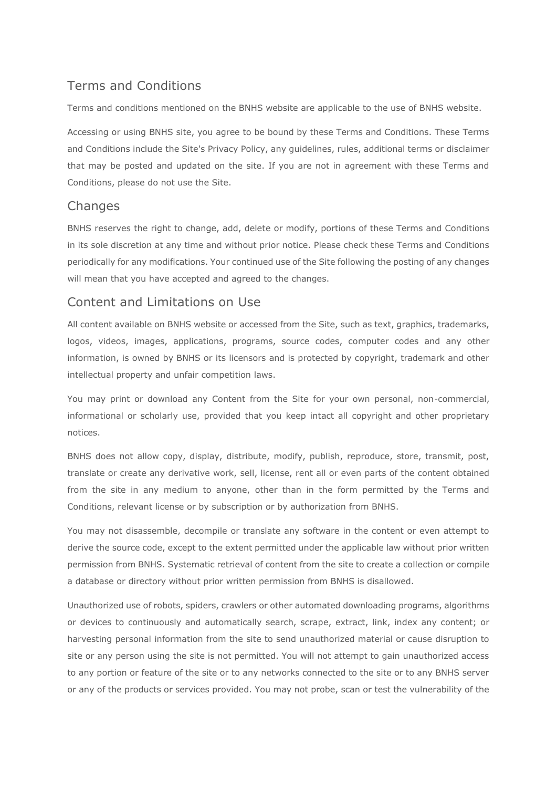# Terms and Conditions

Terms and conditions mentioned on the BNHS website are applicable to the use of BNHS website.

Accessing or using BNHS site, you agree to be bound by these Terms and Conditions. These Terms and Conditions include the Site's Privacy Policy, any guidelines, rules, additional terms or disclaimer that may be posted and updated on the site. If you are not in agreement with these Terms and Conditions, please do not use the Site.

# **Changes**

BNHS reserves the right to change, add, delete or modify, portions of these Terms and Conditions in its sole discretion at any time and without prior notice. Please check these Terms and Conditions periodically for any modifications. Your continued use of the Site following the posting of any changes will mean that you have accepted and agreed to the changes.

# Content and Limitations on Use

All content available on BNHS website or accessed from the Site, such as text, graphics, trademarks, logos, videos, images, applications, programs, source codes, computer codes and any other information, is owned by BNHS or its licensors and is protected by copyright, trademark and other intellectual property and unfair competition laws.

You may print or download any Content from the Site for your own personal, non-commercial, informational or scholarly use, provided that you keep intact all copyright and other proprietary notices.

BNHS does not allow copy, display, distribute, modify, publish, reproduce, store, transmit, post, translate or create any derivative work, sell, license, rent all or even parts of the content obtained from the site in any medium to anyone, other than in the form permitted by the Terms and Conditions, relevant license or by subscription or by authorization from BNHS.

You may not disassemble, decompile or translate any software in the content or even attempt to derive the source code, except to the extent permitted under the applicable law without prior written permission from BNHS. Systematic retrieval of content from the site to create a collection or compile a database or directory without prior written permission from BNHS is disallowed.

Unauthorized use of robots, spiders, crawlers or other automated downloading programs, algorithms or devices to continuously and automatically search, scrape, extract, link, index any content; or harvesting personal information from the site to send unauthorized material or cause disruption to site or any person using the site is not permitted. You will not attempt to gain unauthorized access to any portion or feature of the site or to any networks connected to the site or to any BNHS server or any of the products or services provided. You may not probe, scan or test the vulnerability of the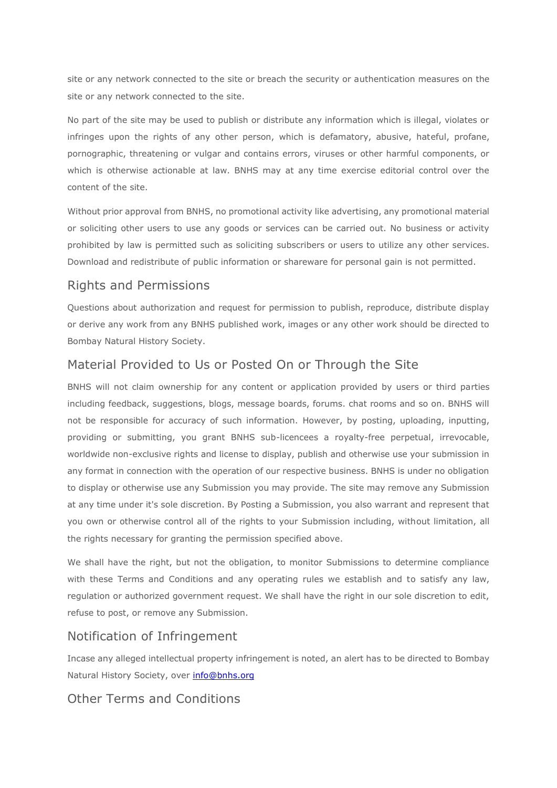site or any network connected to the site or breach the security or authentication measures on the site or any network connected to the site.

No part of the site may be used to publish or distribute any information which is illegal, violates or infringes upon the rights of any other person, which is defamatory, abusive, hateful, profane, pornographic, threatening or vulgar and contains errors, viruses or other harmful components, or which is otherwise actionable at law. BNHS may at any time exercise editorial control over the content of the site.

Without prior approval from BNHS, no promotional activity like advertising, any promotional material or soliciting other users to use any goods or services can be carried out. No business or activity prohibited by law is permitted such as soliciting subscribers or users to utilize any other services. Download and redistribute of public information or shareware for personal gain is not permitted.

#### Rights and Permissions

Questions about authorization and request for permission to publish, reproduce, distribute display or derive any work from any BNHS published work, images or any other work should be directed to Bombay Natural History Society.

#### Material Provided to Us or Posted On or Through the Site

BNHS will not claim ownership for any content or application provided by users or third parties including feedback, suggestions, blogs, message boards, forums. chat rooms and so on. BNHS will not be responsible for accuracy of such information. However, by posting, uploading, inputting, providing or submitting, you grant BNHS sub-licencees a royalty-free perpetual, irrevocable, worldwide non-exclusive rights and license to display, publish and otherwise use your submission in any format in connection with the operation of our respective business. BNHS is under no obligation to display or otherwise use any Submission you may provide. The site may remove any Submission at any time under it's sole discretion. By Posting a Submission, you also warrant and represent that you own or otherwise control all of the rights to your Submission including, without limitation, all the rights necessary for granting the permission specified above.

We shall have the right, but not the obligation, to monitor Submissions to determine compliance with these Terms and Conditions and any operating rules we establish and to satisfy any law, regulation or authorized government request. We shall have the right in our sole discretion to edit, refuse to post, or remove any Submission.

#### Notification of Infringement

Incase any alleged intellectual property infringement is noted, an alert has to be directed to Bombay Natural History Society, over [info@bnhs.org](mailto:info@bnhs.org)

### Other Terms and Conditions